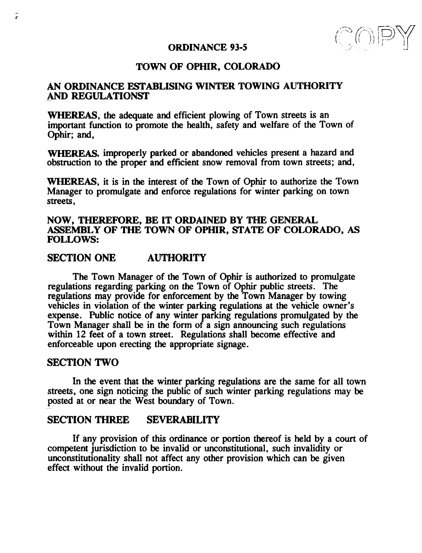### ORDINANCE 93-5

# TOWN OF OPHIR, COLORADO

# AN ORDINANCE ESTABLISING WINTER TOWING AUTHORITY AND REGULATIONST

WHEREAS, the adequate and efficient plowing of Town streets is an important function to promote the health, safety and welfare of the Town of Ophir; and,

WHEREAS, improperly parked or abandoned vehicles present a hazard and obstruction to the proper and efficient snow removal from town streets; and,

WHEREAS, it is in the interest of the Town of Ophir to authorize the Town Manager to promulgate and enforce regulations for winter parking on town streets ,

## NOW, THEREFORE, BE IT ORDAINED BY THE GENERAL ASSEMBLY OF THE TOWN OF OPHIR, STATE OF COLORADO, AS FOLLOWS:

# SECTION ONE AUTHORITY

The Town Manager of the Town of Ophir is authorized to promulgate regulations regarding parking on the Town of Ophir public streets. The regulations may provide for enforcement by the Town Manager by towing vehicles in violation of the winter parking regulations at the vehicle owner's expense. Public notice of any winter parking regulations promulgated by the Town Manager shall be in the form of a sign announcing such regulations within 12 feet of a town street. Regulations shall become effective and enforceable upon erecting the appropriate signage.

### SECTION TWO

In the event that the winter parking regulations are the same for all town streets, one sign noticing the public of such winter parking regulations may be posted at or near the West boundary of Town.

#### SECTION THREE **SEVERABILITY**

If any provision of this ordinance or portion thereof is held by a court of competent jurisdiction to be invalid or unconstitutional, such invalidity or unconstitutionality shall not affect any other provision which can be given effect without the invalid portion.